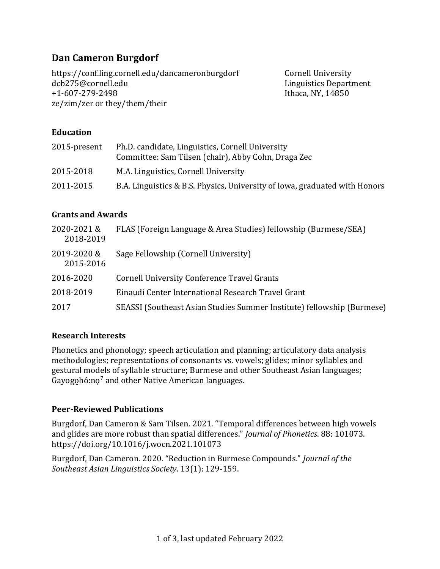# **Dan Cameron Burgdorf**

https://conf.ling.cornell.edu/dancameronburgdorf Cornell University dcb275@cornell.edu Linguistics Department +1-607-279-2498 Ithaca, NY, 14850 ze/zim/zer or they/them/their

### **Education**

| 2015-present | Ph.D. candidate, Linguistics, Cornell University<br>Committee: Sam Tilsen (chair), Abby Cohn, Draga Zec |
|--------------|---------------------------------------------------------------------------------------------------------|
| 2015-2018    | M.A. Linguistics, Cornell University                                                                    |
| 2011-2015    | B.A. Linguistics & B.S. Physics, University of Iowa, graduated with Honors                              |

#### **Grants and Awards**

| 2020-2021&<br>2018-2019  | FLAS (Foreign Language & Area Studies) fellowship (Burmese/SEA)        |
|--------------------------|------------------------------------------------------------------------|
| 2019-2020 &<br>2015-2016 | Sage Fellowship (Cornell University)                                   |
| 2016-2020                | <b>Cornell University Conference Travel Grants</b>                     |
| 2018-2019                | Einaudi Center International Research Travel Grant                     |
| 2017                     | SEASSI (Southeast Asian Studies Summer Institute) fellowship (Burmese) |

#### **Research Interests**

Phonetics and phonology; speech articulation and planning; articulatory data analysis methodologies; representations of consonants vs. vowels; glides; minor syllables and gestural models of syllable structure; Burmese and other Southeast Asian languages; Gayogohó:no<sup>7</sup> and other Native American languages.

#### **Peer-Reviewed Publications**

Burgdorf, Dan Cameron & Sam Tilsen. 2021. "Temporal differences between high vowels and glides are more robust than spatial differences." *Journal of Phonetics*. 88: 101073. https://doi.org/10.1016/j.wocn.2021.101073

Burgdorf, Dan Cameron. 2020. "Reduction in Burmese Compounds." *Journal of the Southeast Asian Linguistics Society*. 13(1): 129-159.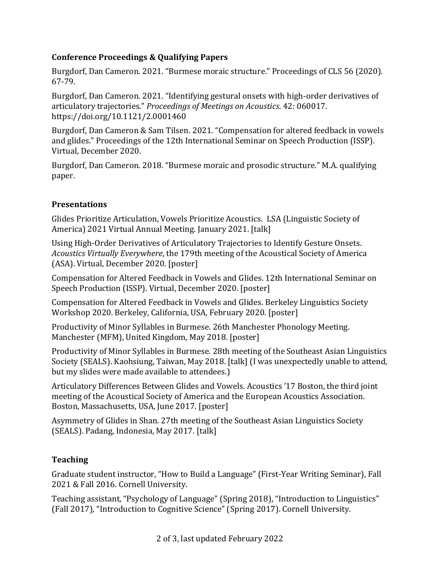# **Conference Proceedings & Qualifying Papers**

Burgdorf, Dan Cameron. 2021. "Burmese moraic structure." Proceedings of CLS 56 (2020). 67-79.

Burgdorf, Dan Cameron. 2021. "Identifying gestural onsets with high-order derivatives of articulatory trajectories." *Proceedings of Meetings on Acoustics*. 42: 060017. https://doi.org/10.1121/2.0001460

Burgdorf, Dan Cameron & Sam Tilsen. 2021. "Compensation for altered feedback in vowels and glides." Proceedings of the 12th International Seminar on Speech Production (ISSP). Virtual, December 2020.

Burgdorf, Dan Cameron. 2018. "Burmese moraic and prosodic structure." M.A. qualifying paper.

# **Presentations**

Glides Prioritize Articulation, Vowels Prioritize Acoustics. LSA (Linguistic Society of America) 2021 Virtual Annual Meeting. January 2021. [talk]

Using High-Order Derivatives of Articulatory Trajectories to Identify Gesture Onsets. *Acoustics Virtually Everywhere*, the 179th meeting of the Acoustical Society of America (ASA). Virtual, December 2020. [poster]

Compensation for Altered Feedback in Vowels and Glides. 12th International Seminar on Speech Production (ISSP). Virtual, December 2020. [poster]

Compensation for Altered Feedback in Vowels and Glides. Berkeley Linguistics Society Workshop 2020. Berkeley, California, USA, February 2020. [poster]

Productivity of Minor Syllables in Burmese. 26th Manchester Phonology Meeting. Manchester (MFM), United Kingdom, May 2018. [poster]

Productivity of Minor Syllables in Burmese. 28th meeting of the Southeast Asian Linguistics Society (SEALS). Kaohsiung, Taiwan, May 2018. [talk] (I was unexpectedly unable to attend, but my slides were made available to attendees.)

Articulatory Differences Between Glides and Vowels. Acoustics '17 Boston, the third joint meeting of the Acoustical Society of America and the European Acoustics Association. Boston, Massachusetts, USA, June 2017. [poster]

Asymmetry of Glides in Shan. 27th meeting of the Southeast Asian Linguistics Society (SEALS). Padang, Indonesia, May 2017. [talk]

# **Teaching**

Graduate student instructor, "How to Build a Language" (First-Year Writing Seminar), Fall 2021 & Fall 2016. Cornell University.

Teaching assistant, "Psychology of Language" (Spring 2018), "Introduction to Linguistics" (Fall 2017), "Introduction to Cognitive Science" (Spring 2017). Cornell University.